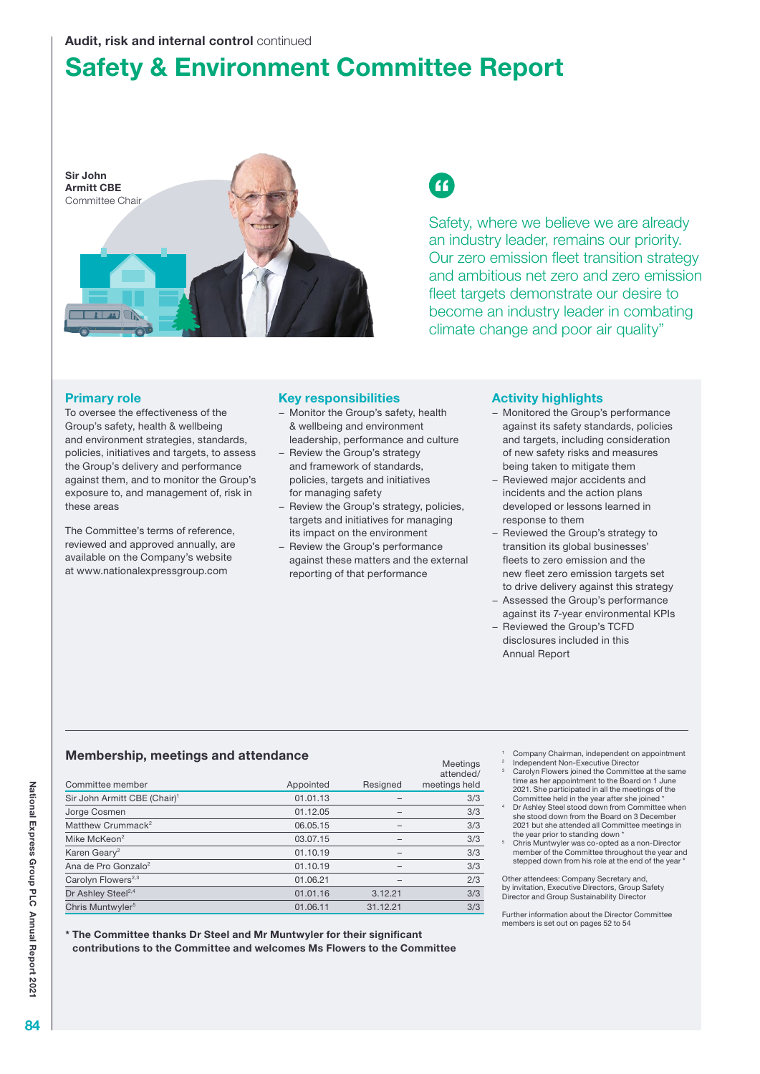### Audit, risk and internal control continued

# Safety & Environment Committee Report



# $\epsilon$

Safety, where we believe we are already an industry leader, remains our priority. Our zero emission fleet transition strategy and ambitious net zero and zero emission fleet targets demonstrate our desire to become an industry leader in combating climate change and poor air quality"

### Primary role

To oversee the effectiveness of the Group's safety, health & wellbeing and environment strategies, standards, policies, initiatives and targets, to assess the Group's delivery and performance against them, and to monitor the Group's exposure to, and management of, risk in these areas

The Committee's terms of reference, reviewed and approved annually, are available on the Company's website at www.nationalexpressgroup.com

### Key responsibilities

- Monitor the Group's safety, health & wellbeing and environment leadership, performance and culture
- − Review the Group's strategy and framework of standards, policies, targets and initiatives for managing safety
- − Review the Group's strategy, policies, targets and initiatives for managing its impact on the environment
- − Review the Group's performance against these matters and the external reporting of that performance

### Activity highlights

- − Monitored the Group's performance against its safety standards, policies and targets, including consideration of new safety risks and measures being taken to mitigate them
- Reviewed major accidents and incidents and the action plans developed or lessons learned in response to them
- − Reviewed the Group's strategy to transition its global businesses' fleets to zero emission and the new fleet zero emission targets set to drive delivery against this strategy
- − Assessed the Group's performance against its 7-year environmental KPIs
- − Reviewed the Group's TCFD disclosures included in this Annual Report

### Membership, meetings and attendance

|                                          |           |          | Meetings<br>attended/ |
|------------------------------------------|-----------|----------|-----------------------|
| Committee member                         | Appointed | Resigned | meetings held         |
| Sir John Armitt CBE (Chair) <sup>1</sup> | 01.01.13  |          | 3/3                   |
| Jorge Cosmen                             | 01.12.05  |          | 3/3                   |
| Matthew Crummack <sup>2</sup>            | 06.05.15  |          | 3/3                   |
| Mike McKeon <sup>2</sup>                 | 03.07.15  |          | 3/3                   |
| Karen Geary <sup>2</sup>                 | 01.10.19  |          | 3/3                   |
| Ana de Pro Gonzalo <sup>2</sup>          | 01.10.19  |          | 3/3                   |
| Carolyn Flowers <sup>2,3</sup>           | 01.06.21  |          | 2/3                   |
| Dr Ashley Steel <sup>2,4</sup>           | 01.01.16  | 3.12.21  | 3/3                   |
| Chris Muntwyler <sup>5</sup>             | 01.06.11  | 31.12.21 | 3/3                   |

\* The Committee thanks Dr Steel and Mr Muntwyler for their significant contributions to the Committee and welcomes Ms Flowers to the Committee

- <sup>1</sup> Company Chairman, independent on appointment
- Independent Non-Executive Director Carolyn Flowers joined the Committee at the same time as her appointment to the Board on 1 June 2021. She participated in all the meetings of the Committee held in the year after she joined \*
- 4 Dr Ashley Steel stood down from Committee when she stood down from the Board on 3 December 2021 but she attended all Committee meetings in the year prior to standing down \*
- 5 Chris Muntwyler was co-opted as a non-Director member of the Committee throughout the year and stepped down from his role at the end of the year

Other attendees: Company Secretary and, by invitation, Executive Directors, Group Safety Director and Group Sustainability Director

Further information about the Director Committee members is set out on pages 52 to 54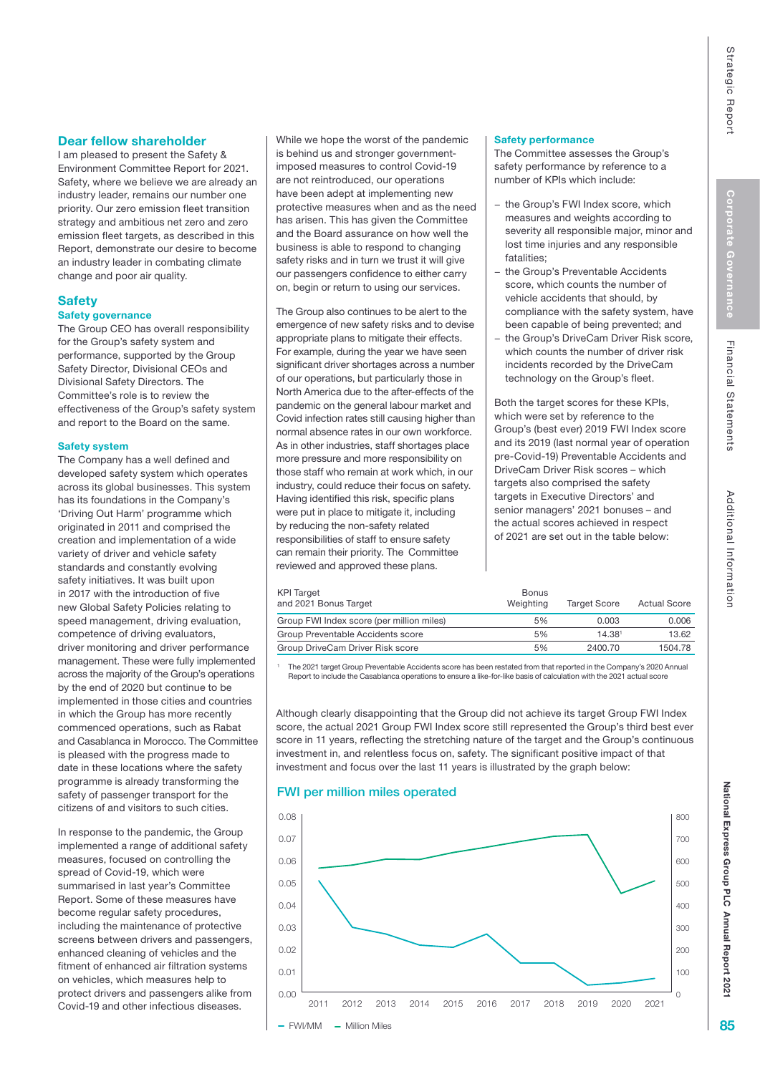Financial Statements

## Dear fellow shareholder

I am pleased to present the Safety & Environment Committee Report for 2021. Safety, where we believe we are already an industry leader, remains our number one priority. Our zero emission fleet transition strategy and ambitious net zero and zero emission fleet targets, as described in this Report, demonstrate our desire to become an industry leader in combating climate change and poor air quality.

# **Safety**

### Safety governance

The Group CEO has overall responsibility for the Group's safety system and performance, supported by the Group Safety Director, Divisional CEOs and Divisional Safety Directors. The Committee's role is to review the effectiveness of the Group's safety system and report to the Board on the same.

### Safety system

The Company has a well defined and developed safety system which operates across its global businesses. This system has its foundations in the Company's 'Driving Out Harm' programme which originated in 2011 and comprised the creation and implementation of a wide variety of driver and vehicle safety standards and constantly evolving safety initiatives. It was built upon in 2017 with the introduction of five new Global Safety Policies relating to speed management, driving evaluation, competence of driving evaluators, driver monitoring and driver performance management. These were fully implemented across the majority of the Group's operations by the end of 2020 but continue to be implemented in those cities and countries in which the Group has more recently commenced operations, such as Rabat and Casablanca in Morocco. The Committee is pleased with the progress made to date in these locations where the safety programme is already transforming the safety of passenger transport for the citizens of and visitors to such cities.

In response to the pandemic, the Group implemented a range of additional safety measures, focused on controlling the spread of Covid-19, which were summarised in last year's Committee Report. Some of these measures have become regular safety procedures, including the maintenance of protective screens between drivers and passengers, enhanced cleaning of vehicles and the fitment of enhanced air filtration systems on vehicles, which measures help to protect drivers and passengers alike from Covid-19 and other infectious diseases.

While we hope the worst of the pandemic is behind us and stronger governmentimposed measures to control Covid-19 are not reintroduced, our operations have been adept at implementing new protective measures when and as the need has arisen. This has given the Committee and the Board assurance on how well the business is able to respond to changing safety risks and in turn we trust it will give our passengers confidence to either carry on, begin or return to using our services.

The Group also continues to be alert to the emergence of new safety risks and to devise appropriate plans to mitigate their effects. For example, during the year we have seen significant driver shortages across a number of our operations, but particularly those in North America due to the after-effects of the pandemic on the general labour market and Covid infection rates still causing higher than normal absence rates in our own workforce. As in other industries, staff shortages place more pressure and more responsibility on those staff who remain at work which, in our industry, could reduce their focus on safety. Having identified this risk, specific plans were put in place to mitigate it, including by reducing the non-safety related responsibilities of staff to ensure safety can remain their priority. The Committee reviewed and approved these plans.

#### Safety performance

The Committee assesses the Group's safety performance by reference to a number of KPIs which include:

- − the Group's FWI Index score, which measures and weights according to severity all responsible major, minor and lost time injuries and any responsible fatalities;
- the Group's Preventable Accidents score, which counts the number of vehicle accidents that should, by compliance with the safety system, have been capable of being prevented; and
- the Group's DriveCam Driver Risk score, which counts the number of driver risk incidents recorded by the DriveCam technology on the Group's fleet.

Both the target scores for these KPIs, which were set by reference to the Group's (best ever) 2019 FWI Index score and its 2019 (last normal year of operation pre-Covid-19) Preventable Accidents and DriveCam Driver Risk scores – which targets also comprised the safety targets in Executive Directors' and senior managers' 2021 bonuses – and the actual scores achieved in respect of 2021 are set out in the table below:

| <b>KPI Target</b><br>and 2021 Bonus Target | <b>Bonus</b><br>Weighting | <b>Target Score</b> | <b>Actual Score</b> |
|--------------------------------------------|---------------------------|---------------------|---------------------|
| Group FWI Index score (per million miles)  | 5%                        | 0.003               | 0.006               |
| Group Preventable Accidents score          | 5%                        | 14.381              | 13.62               |
| Group DriveCam Driver Risk score           | 5%                        | 2400.70             | 1504.78             |

1 The 2021 target Group Preventable Accidents score has been restated from that reported in the Company's 2020 Annual Report to include the Casablanca operations to ensure a like-for-like basis of calculation with the 2021 actual score

Although clearly disappointing that the Group did not achieve its target Group FWI Index score, the actual 2021 Group FWI Index score still represented the Group's third best ever score in 11 years, reflecting the stretching nature of the target and the Group's continuous investment in, and relentless focus on, safety. The significant positive impact of that investment and focus over the last 11 years is illustrated by the graph below:

### FWI per million miles operated



National Express Group PLC

National Express Group PLC Annual Report 2021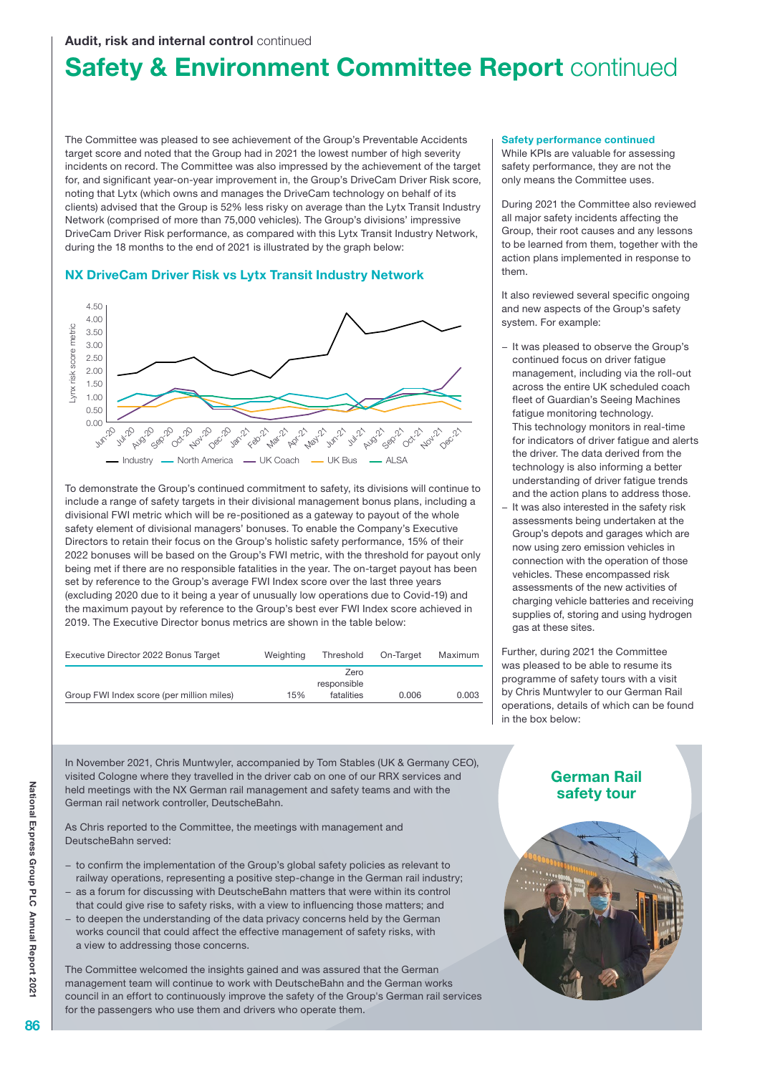### Audit, risk and internal control continued

# **Safety & Environment Committee Report continued**

The Committee was pleased to see achievement of the Group's Preventable Accidents target score and noted that the Group had in 2021 the lowest number of high severity incidents on record. The Committee was also impressed by the achievement of the target for, and significant year-on-year improvement in, the Group's DriveCam Driver Risk score, noting that Lytx (which owns and manages the DriveCam technology on behalf of its clients) advised that the Group is 52% less risky on average than the Lytx Transit Industry Network (comprised of more than 75,000 vehicles). The Group's divisions' impressive DriveCam Driver Risk performance, as compared with this Lytx Transit Industry Network, during the 18 months to the end of 2021 is illustrated by the graph below:

### NX DriveCam Driver Risk vs Lytx Transit Industry Network



To demonstrate the Group's continued commitment to safety, its divisions will continue to include a range of safety targets in their divisional management bonus plans, including a divisional FWI metric which will be re-positioned as a gateway to payout of the whole safety element of divisional managers' bonuses. To enable the Company's Executive Directors to retain their focus on the Group's holistic safety performance, 15% of their 2022 bonuses will be based on the Group's FWI metric, with the threshold for payout only being met if there are no responsible fatalities in the year. The on-target payout has been set by reference to the Group's average FWI Index score over the last three years (excluding 2020 due to it being a year of unusually low operations due to Covid-19) and the maximum payout by reference to the Group's best ever FWI Index score achieved in 2019. The Executive Director bonus metrics are shown in the table below:

| Executive Director 2022 Bonus Target      | Weighting | Threshold           | On-Target | Maximum |
|-------------------------------------------|-----------|---------------------|-----------|---------|
|                                           |           | Zero<br>responsible |           |         |
| Group FWI Index score (per million miles) | 15%       | fatalities          | 0.006     | 0.003   |

In November 2021, Chris Muntwyler, accompanied by Tom Stables (UK & Germany CEO), visited Cologne where they travelled in the driver cab on one of our RRX services and held meetings with the NX German rail management and safety teams and with the German rail network controller, DeutscheBahn.

As Chris reported to the Committee, the meetings with management and DeutscheBahn served:

- − to confirm the implementation of the Group's global safety policies as relevant to railway operations, representing a positive step-change in the German rail industry; as a forum for discussing with DeutscheBahn matters that were within its control
- that could give rise to safety risks, with a view to influencing those matters; and to deepen the understanding of the data privacy concerns held by the German
- works council that could affect the effective management of safety risks, with a view to addressing those concerns.

The Committee welcomed the insights gained and was assured that the German management team will continue to work with DeutscheBahn and the German works council in an effort to continuously improve the safety of the Group's German rail services for the passengers who use them and drivers who operate them.

#### Safety performance continued

While KPIs are valuable for assessing safety performance, they are not the only means the Committee uses.

During 2021 the Committee also reviewed all major safety incidents affecting the Group, their root causes and any lessons to be learned from them, together with the action plans implemented in response to them.

It also reviewed several specific ongoing and new aspects of the Group's safety system. For example:

- − It was pleased to observe the Group's continued focus on driver fatigue management, including via the roll-out across the entire UK scheduled coach fleet of Guardian's Seeing Machines fatigue monitoring technology. This technology monitors in real-time for indicators of driver fatigue and alerts the driver. The data derived from the technology is also informing a better understanding of driver fatigue trends and the action plans to address those.
- It was also interested in the safety risk assessments being undertaken at the Group's depots and garages which are now using zero emission vehicles in connection with the operation of those vehicles. These encompassed risk assessments of the new activities of charging vehicle batteries and receiving supplies of, storing and using hydrogen gas at these sites.

Further, during 2021 the Committee was pleased to be able to resume its programme of safety tours with a visit by Chris Muntwyler to our German Rail operations, details of which can be found in the box below:

## German Rail safety tour

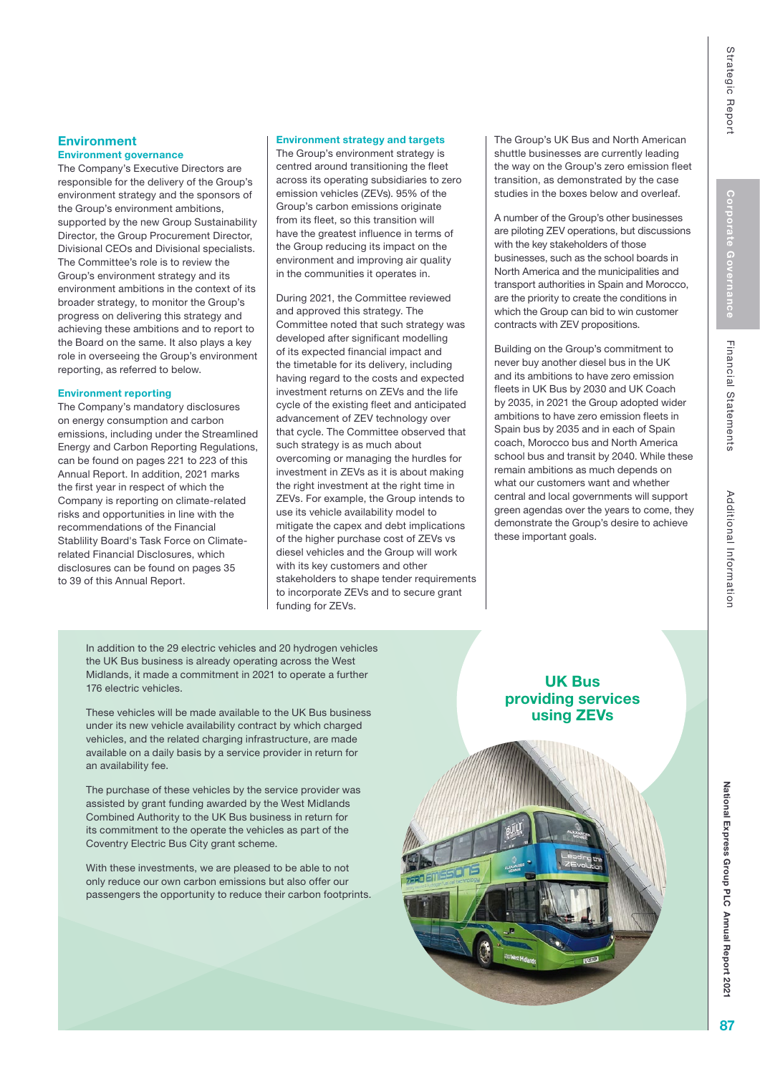# **Environment**

### Environment governance

The Company's Executive Directors are responsible for the delivery of the Group's environment strategy and the sponsors of the Group's environment ambitions, supported by the new Group Sustainability Director, the Group Procurement Director, Divisional CEOs and Divisional specialists. The Committee's role is to review the Group's environment strategy and its environment ambitions in the context of its broader strategy, to monitor the Group's progress on delivering this strategy and achieving these ambitions and to report to the Board on the same. It also plays a key role in overseeing the Group's environment reporting, as referred to below.

### Environment reporting

The Company's mandatory disclosures on energy consumption and carbon emissions, including under the Streamlined Energy and Carbon Reporting Regulations, can be found on pages 221 to 223 of this Annual Report. In addition, 2021 marks the first year in respect of which the Company is reporting on climate-related risks and opportunities in line with the recommendations of the Financial Stablility Board's Task Force on Climaterelated Financial Disclosures, which disclosures can be found on pages 35 to 39 of this Annual Report.

### Environment strategy and targets

The Group's environment strategy is centred around transitioning the fleet across its operating subsidiaries to zero emission vehicles (ZEVs). 95% of the Group's carbon emissions originate from its fleet, so this transition will have the greatest influence in terms of the Group reducing its impact on the environment and improving air quality in the communities it operates in.

During 2021, the Committee reviewed and approved this strategy. The Committee noted that such strategy was developed after significant modelling of its expected financial impact and the timetable for its delivery, including having regard to the costs and expected investment returns on ZEVs and the life cycle of the existing fleet and anticipated advancement of ZEV technology over that cycle. The Committee observed that such strategy is as much about overcoming or managing the hurdles for investment in ZEVs as it is about making the right investment at the right time in ZEVs. For example, the Group intends to use its vehicle availability model to mitigate the capex and debt implications of the higher purchase cost of ZEVs vs diesel vehicles and the Group will work with its key customers and other stakeholders to shape tender requirements to incorporate ZEVs and to secure grant funding for ZEVs.

The Group's UK Bus and North American shuttle businesses are currently leading the way on the Group's zero emission fleet transition, as demonstrated by the case studies in the boxes below and overleaf.

A number of the Group's other businesses are piloting ZEV operations, but discussions with the key stakeholders of those businesses, such as the school boards in North America and the municipalities and transport authorities in Spain and Morocco, are the priority to create the conditions in which the Group can bid to win customer contracts with ZEV propositions.

Building on the Group's commitment to never buy another diesel bus in the UK and its ambitions to have zero emission fleets in UK Bus by 2030 and UK Coach by 2035, in 2021 the Group adopted wider ambitions to have zero emission fleets in Spain bus by 2035 and in each of Spain coach, Morocco bus and North America school bus and transit by 2040. While these remain ambitions as much depends on what our customers want and whether central and local governments will support green agendas over the years to come, they demonstrate the Group's desire to achieve these important goals.

In addition to the 29 electric vehicles and 20 hydrogen vehicles the UK Bus business is already operating across the West Midlands, it made a commitment in 2021 to operate a further 176 electric vehicles.

These vehicles will be made available to the UK Bus business under its new vehicle availability contract by which charged vehicles, and the related charging infrastructure, are made available on a daily basis by a service provider in return for an availability fee.

The purchase of these vehicles by the service provider was assisted by grant funding awarded by the West Midlands Combined Authority to the UK Bus business in return for its commitment to the operate the vehicles as part of the Coventry Electric Bus City grant scheme.

With these investments, we are pleased to be able to not only reduce our own carbon emissions but also offer our passengers the opportunity to reduce their carbon footprints.

## UK Bus providing services using ZEVs



National Express Group PLC

National Express Group PLC Annual Report 202